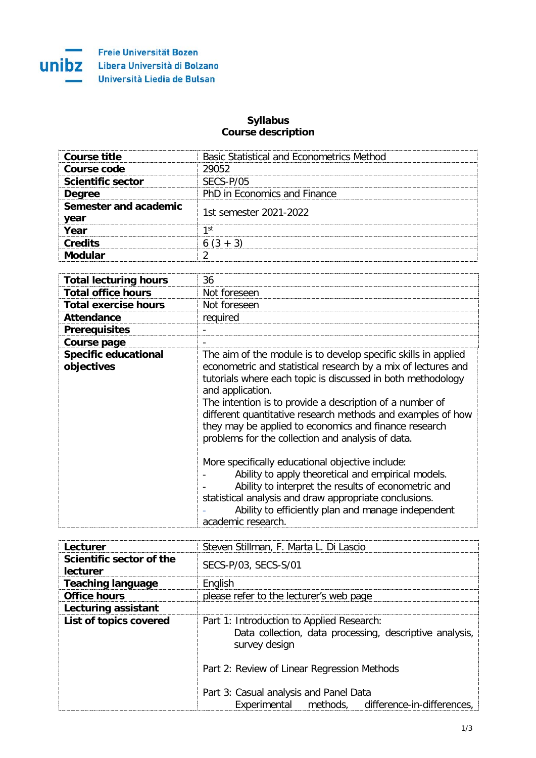

## **Syllabus Course description**

| <b>Course title</b>           | <b>Basic Statistical and Econometrics Method</b> |
|-------------------------------|--------------------------------------------------|
| Course code                   | 29052                                            |
| <b>Scientific sector</b>      | SECS-P/05                                        |
| <b>Degree</b>                 | PhD in Economics and Finance                     |
| Semester and academic<br>vear | 1st semester 2021-2022                           |
| Year                          | 1 St                                             |
| <b>Credits</b>                |                                                  |
| dular                         |                                                  |

| <b>Total lecturing hours</b>              | 36                                                                                                                                                                                                                                                                                                                                                                                                                                                                                                                                                                                                                                                                                                                                                                 |
|-------------------------------------------|--------------------------------------------------------------------------------------------------------------------------------------------------------------------------------------------------------------------------------------------------------------------------------------------------------------------------------------------------------------------------------------------------------------------------------------------------------------------------------------------------------------------------------------------------------------------------------------------------------------------------------------------------------------------------------------------------------------------------------------------------------------------|
| <b>Total office hours</b>                 | Not foreseen                                                                                                                                                                                                                                                                                                                                                                                                                                                                                                                                                                                                                                                                                                                                                       |
| <b>Total exercise hours</b>               | Not foreseen                                                                                                                                                                                                                                                                                                                                                                                                                                                                                                                                                                                                                                                                                                                                                       |
| <b>Attendance</b>                         | required                                                                                                                                                                                                                                                                                                                                                                                                                                                                                                                                                                                                                                                                                                                                                           |
| <b>Prerequisites</b>                      |                                                                                                                                                                                                                                                                                                                                                                                                                                                                                                                                                                                                                                                                                                                                                                    |
| Course page                               |                                                                                                                                                                                                                                                                                                                                                                                                                                                                                                                                                                                                                                                                                                                                                                    |
| <b>Specific educational</b><br>objectives | The aim of the module is to develop specific skills in applied<br>econometric and statistical research by a mix of lectures and<br>tutorials where each topic is discussed in both methodology<br>and application.<br>The intention is to provide a description of a number of<br>different quantitative research methods and examples of how<br>they may be applied to economics and finance research<br>problems for the collection and analysis of data.<br>More specifically educational objective include:<br>Ability to apply theoretical and empirical models.<br>Ability to interpret the results of econometric and<br>statistical analysis and draw appropriate conclusions.<br>Ability to efficiently plan and manage independent<br>academic research. |

| Lecturer                             | Steven Stillman, F. Marta L. Di Lascio                                                                                |
|--------------------------------------|-----------------------------------------------------------------------------------------------------------------------|
| Scientific sector of the<br>lecturer | SECS-P/03, SECS-S/01                                                                                                  |
| <b>Teaching language</b>             | English                                                                                                               |
| <b>Office hours</b>                  | please refer to the lecturer's web page                                                                               |
| Lecturing assistant                  |                                                                                                                       |
| List of topics covered               | Part 1: Introduction to Applied Research:<br>Data collection, data processing, descriptive analysis,<br>survey design |
|                                      | Part 2: Review of Linear Regression Methods                                                                           |
|                                      | Part 3: Casual analysis and Panel Data<br>Experimental methods, difference-in-differences,                            |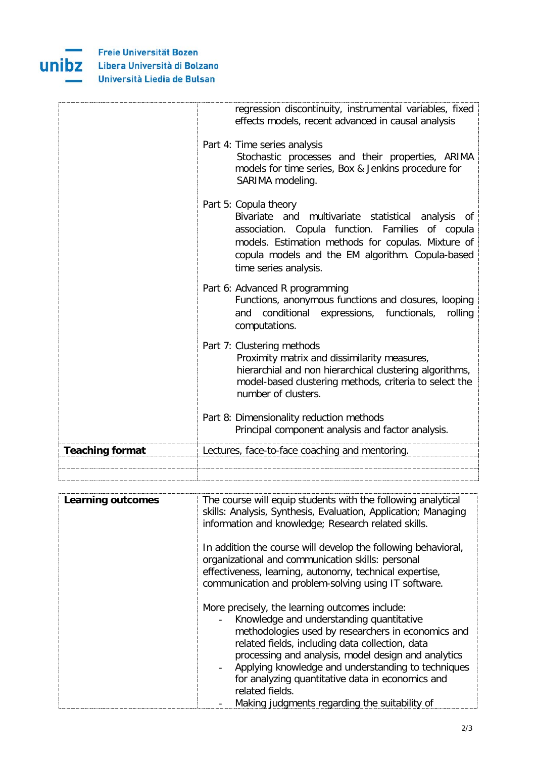

|                        | regression discontinuity, instrumental variables, fixed<br>effects models, recent advanced in causal analysis                                                                                                                                                      |
|------------------------|--------------------------------------------------------------------------------------------------------------------------------------------------------------------------------------------------------------------------------------------------------------------|
|                        | Part 4: Time series analysis<br>Stochastic processes and their properties, ARIMA<br>models for time series, Box & Jenkins procedure for<br>SARIMA modeling.                                                                                                        |
|                        | Part 5: Copula theory<br>Bivariate and multivariate statistical analysis of<br>association. Copula function. Families of copula<br>models. Estimation methods for copulas. Mixture of<br>copula models and the EM algorithm. Copula-based<br>time series analysis. |
|                        | Part 6: Advanced R programming<br>Functions, anonymous functions and closures, looping<br>conditional expressions, functionals,<br>rolling<br>and<br>computations.                                                                                                 |
|                        | Part 7: Clustering methods<br>Proximity matrix and dissimilarity measures,<br>hierarchial and non hierarchical clustering algorithms,<br>model-based clustering methods, criteria to select the<br>number of clusters.                                             |
|                        | Part 8: Dimensionality reduction methods<br>Principal component analysis and factor analysis.                                                                                                                                                                      |
| <b>Teaching format</b> | Lectures, face-to-face coaching and mentoring.                                                                                                                                                                                                                     |
|                        |                                                                                                                                                                                                                                                                    |

| <b>Learning outcomes</b> | The course will equip students with the following analytical<br>skills: Analysis, Synthesis, Evaluation, Application; Managing<br>information and knowledge; Research related skills.                                                                                                                                                                                                     |
|--------------------------|-------------------------------------------------------------------------------------------------------------------------------------------------------------------------------------------------------------------------------------------------------------------------------------------------------------------------------------------------------------------------------------------|
|                          | In addition the course will develop the following behavioral,<br>organizational and communication skills: personal<br>effectiveness, learning, autonomy, technical expertise,<br>communication and problem-solving using IT software.                                                                                                                                                     |
|                          | More precisely, the learning outcomes include:<br>Knowledge and understanding quantitative<br>methodologies used by researchers in economics and<br>related fields, including data collection, data<br>processing and analysis, model design and analytics<br>- Applying knowledge and understanding to techniques<br>for analyzing quantitative data in economics and<br>related fields. |
|                          | Making judgments regarding the suitability of                                                                                                                                                                                                                                                                                                                                             |